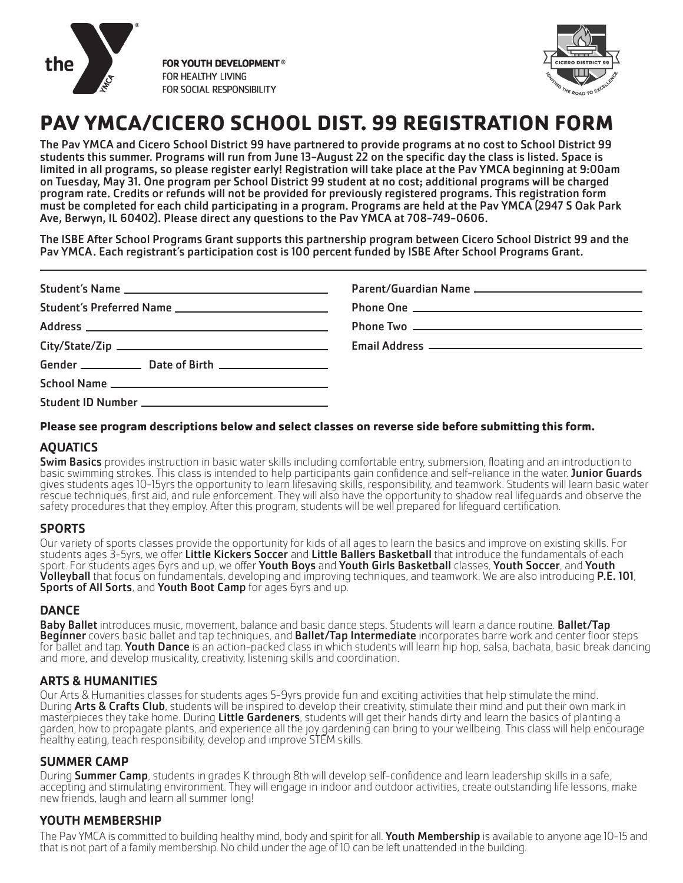

FOR YOUTH DEVELOPMENT<sup>®</sup> FOR HEALTHY LIVING FOR SOCIAL RESPONSIBILITY



# **PAV YMCA/CICERO SCHOOL DIST. 99 REGISTRATION FORM**

The Pav YMCA and Cicero School District 99 have partnered to provide programs at no cost to School District 99 students this summer. Programs will run from June 13-August 22 on the specific day the class is listed. Space is limited in all programs, so please register early! Registration will take place at the Pav YMCA beginning at 9:00am on Tuesday, May 31. One program per School District 99 student at no cost; additional programs will be charged program rate. Credits or refunds will not be provided for previously registered programs. This registration form must be completed for each child participating in a program. Programs are held at the Pav YMCA (2947 S Oak Park Ave, Berwyn, IL 60402). Please direct any questions to the Pav YMCA at 708-749-0606.

The ISBE After School Programs Grant supports this partnership program between Cicero School District 99 and the Pav YMCA. Each registrant's participation cost is 100 percent funded by ISBE After School Programs Grant.

### **Please see program descriptions below and select classes on reverse side before submitting this form.**

## AQUATICS

**Swim Basics** provides instruction in basic water skills including comfortable entry, submersion, floating and an introduction to basic swimming strokes. This class is intended to help participants gain confidence and self-reliance in the water. Junior Guards gives students ages 10-15yrs the opportunity to learn lifesaving skills, responsibility, and teamwork. Students will learn basic water rescue techniques, first aid, and rule enforcement. They will also have the opportunity to shadow real lifeguards and observe the safety procedures that they employ. After this program, students will be well prepared for lifeguard certification.

### **SPORTS**

Our variety of sports classes provide the opportunity for kids of all ages to learn the basics and improve on existing skills. For students ages 3-5yrs, we offer Little Kickers Soccer and Little Ballers Basketball that introduce the fundamentals of each sport. For students ages 6yrs and up, we offer Youth Boys and Youth Girls Basketball classes, Youth Soccer, and Youth Volleyball that focus on fundamentals, developing and improving techniques, and teamwork. We are also introducing P.E. 101,<br>Sports of All Sorts, and Youth Boot Camp for ages 6yrs and up.

## **DANCE**

Baby Ballet introduces music, movement, balance and basic dance steps. Students will learn a dance routine. Ballet/Tap Beginner covers basic ballet and tap techniques, and Ballet/Tap Intermediate incorporates barre work and center floor steps for ballet and tap. Youth Dance is an action-packed class in which students will learn hip hop, salsa, bachata, basic break dancing and more, and develop musicality, creativity, listening skills and coordination.

## ARTS & HUMANITIES

Our Arts & Humanities classes for students ages 5-9yrs provide fun and exciting activities that help stimulate the mind. During Arts & Crafts Club, students will be inspired to develop their creativity, stimulate their mind and put their own mark in masterpieces they take home. During Little Gardeners, students will get their hands dirty and learn the basics of planting a garden, how to propagate plants, and experience all the joy gardening can bring to your wellbeing. This class will help encourage healthy eating, teach responsibility, develop and improve STEM skills.

## SUMMER CAMP

During **Summer Camp**, students in grades K through 8th will develop self-confidence and learn leadership skills in a safe, accepting and stimulating environment. They will engage in indoor and outdoor activities, create outstanding life lessons, make new friends, laugh and learn all summer long!

## YOUTH MEMBERSHIP

The Pav YMCA is committed to building healthy mind, body and spirit for all. Youth Membership is available to anyone age 10-15 and that is not part of a family membership. No child under the age of 10 can be left unattended in the building.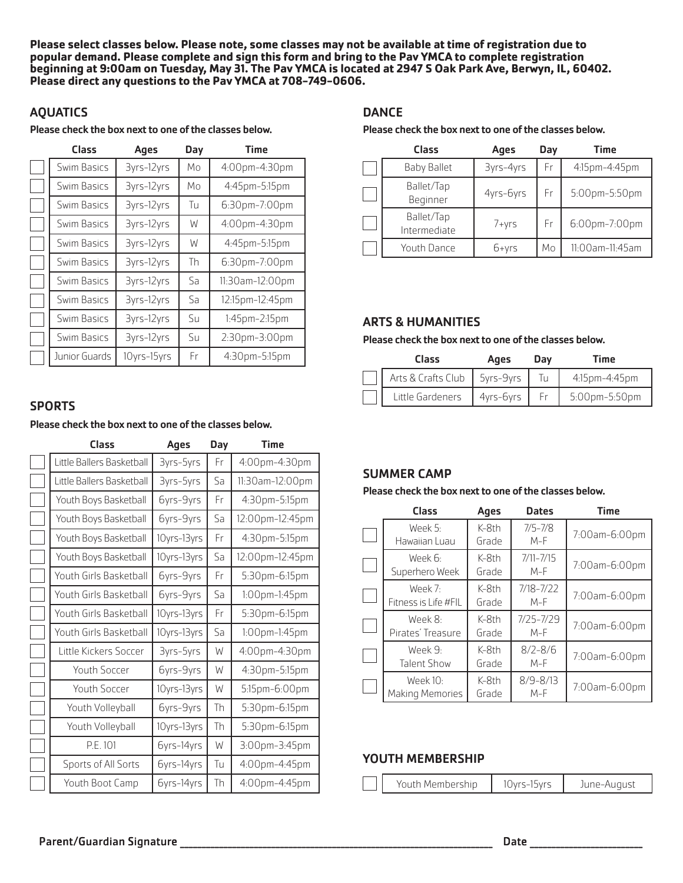**Please select classes below. Please note, some classes may not be available at time of registration due to popular demand. Please complete and sign this form and bring to the Pav YMCA to complete registration beginning at 9:00am on Tuesday, May 31. The Pav YMCA is located at 2947 S Oak Park Ave, Berwyn, IL, 60402. Please direct any questions to the Pav YMCA at 708-749-0606.**

## **AOUATICS**

Please check the box next to one of the classes below.

| Class         | Ages        | Day | <b>Time</b>     |
|---------------|-------------|-----|-----------------|
| Swim Basics   | 3yrs-12yrs  | Mo  | 4:00pm-4:30pm   |
| Swim Basics   | 3yrs-12yrs  | Мo  | 4:45pm-5:15pm   |
| Swim Basics   | 3yrs-12yrs  | Tu  | 6:30pm-7:00pm   |
| Swim Basics   | 3yrs-12yrs  | W   | 4:00pm-4:30pm   |
| Swim Basics   | 3yrs-12yrs  | W   | 4:45pm-5:15pm   |
| Swim Basics   | 3yrs-12yrs  | Th  | 6:30pm-7:00pm   |
| Swim Basics   | 3yrs-12yrs  | Sa  | 11:30am-12:00pm |
| Swim Basics   | 3yrs-12yrs  | Sa  | 12:15pm-12:45pm |
| Swim Basics   | 3yrs-12yrs  | Su  | 1:45pm-2:15pm   |
| Swim Basics   | 3yrs-12yrs  | Su  | 2:30pm-3:00pm   |
| Junior Guards | 10yrs-15yrs | Fr  | 4:30pm-5:15pm   |

### **SPORTS**

#### Please check the box next to one of the classes below.

| Class                     | <b>Ages</b> | Day | <b>Time</b>          |
|---------------------------|-------------|-----|----------------------|
| Little Ballers Basketball | 3yrs-5yrs   | Fr  | 4:00pm-4:30pm        |
| Little Ballers Basketball | 3yrs-5yrs   | Sa  | 11:30am-12:00pm      |
| Youth Boys Basketball     | 6yrs-9yrs   | Fr  | 4:30pm-5:15pm        |
| Youth Boys Basketball     | 6yrs-9yrs   | Sa  | 12:00pm-12:45pm      |
| Youth Boys Basketball     | 10yrs-13yrs | Fr  | 4:30pm-5:15pm        |
| Youth Boys Basketball     | 10yrs-13yrs | Sa  | 12:00pm-12:45pm      |
| Youth Girls Basketball    | 6yrs-9yrs   | Fr  | 5:30pm-6:15pm        |
| Youth Girls Basketball    | 6yrs-9yrs   | Sa  | $1:00$ pm- $1:45$ pm |
| Youth Girls Basketball    | 10yrs-13yrs | Fr  | 5:30pm-6:15pm        |
| Youth Girls Basketball    | 10yrs-13yrs | Sa  | 1:00pm-1:45pm        |
| Little Kickers Soccer     | 3yrs-5yrs   | W   | 4:00pm-4:30pm        |
| Youth Soccer              | 6yrs-9yrs   | W   | 4:30pm-5:15pm        |
| <b>Youth Soccer</b>       | 10yrs-13yrs | W   | 5:15pm-6:00pm        |
| Youth Volleyball          | 6yrs-9yrs   | Th  | 5:30pm-6:15pm        |
| Youth Volleyball          | 10yrs-13yrs | Th  | 5:30pm-6:15pm        |
| P.E. 101                  | 6yrs-14yrs  | W   | 3:00pm-3:45pm        |
| Sports of All Sorts       | 6yrs-14yrs  | Tu  | 4:00pm-4:45pm        |
| Youth Boot Camp           | 6yrs-14yrs  | Th  | 4:00pm-4:45pm        |

### **DANCE**

#### Please check the box next to one of the classes below.

| Class                      | Ages      | Day | Time            |
|----------------------------|-----------|-----|-----------------|
| <b>Baby Ballet</b>         | 3yrs-4yrs | Fr  | 4:15pm-4:45pm   |
| Ballet/Tap<br>Beginner     | 4yrs-6yrs | Fr  | 5:00pm-5:50pm   |
| Ballet/Tap<br>Intermediate | 7+yrs     | Fr  | 6:00pm-7:00pm   |
| Youth Dance                | 6+yrs     | Mo  | 11:00am-11:45am |

### ARTS & HUMANITIES

### Please check the box next to one of the classes below.

| Class              | Ages      | Dav | Time          |
|--------------------|-----------|-----|---------------|
| Arts & Crafts Club | 5yrs-9yrs |     | 4:15pm-4:45pm |
| Little Gardeners   | 4yrs-6yrs | Fr  | 5:00pm-5:50pm |

## SUMMER CAMP

### Please check the box next to one of the classes below.

| Class                                | Ages             | <b>Dates</b>           | <b>Time</b>   |
|--------------------------------------|------------------|------------------------|---------------|
| Week 5:<br>Hawaiian Luau             | $K-Rth$<br>Grade | $7/5 - 7/8$<br>$M-F$   | 7:00am-6:00pm |
| Week 6:<br>Superhero Week            | $K-8th$<br>Grade | $7/11 - 7/15$<br>$M-F$ | 7:00am-6:00pm |
| Week 7:<br>Fitness is Life #FIL      | $K-Rth$<br>Grade | $7/18 - 7/22$<br>$M-F$ | 7:00am-6:00pm |
| Week 8:<br>Pirates' Treasure         | $K-Rth$<br>Grade | $7/25 - 7/29$<br>$M-F$ | 7:00am-6:00pm |
| Week 9:<br><b>Talent Show</b>        | $K-Rth$<br>Grade | $8/2 - 8/6$<br>$M-F$   | 7:00am-6:00pm |
| Week $101$<br><b>Making Memories</b> | $K-Rth$<br>Grade | $8/9 - 8/13$<br>$M-F$  | 7:00am-6:00pm |

### YOUTH MEMBERSHIP

|  | Youth Membership | 10yrs-15yrs | June-August |
|--|------------------|-------------|-------------|
|--|------------------|-------------|-------------|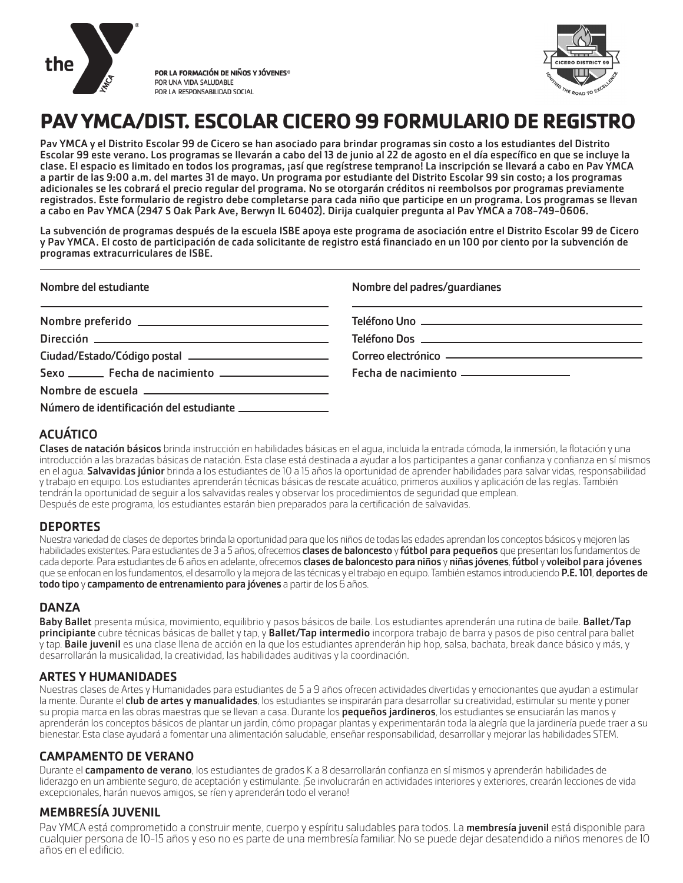

POR LA FORMACIÓN DE NIÑOS Y JÓVENES<sup>®</sup> POR UNA VIDA SALUDABLE POR LA RESPONSABILIDAD SOCIAL



# **PAV YMCA/DIST. ESCOLAR CICERO 99 FORMULARIO DE REGISTRO**

Pav YMCA y el Distrito Escolar 99 de Cicero se han asociado para brindar programas sin costo a los estudiantes del Distrito Escolar 99 este verano. Los programas se llevarán a cabo del 13 de junio al 22 de agosto en el día específico en que se incluye la clase. El espacio es limitado en todos los programas, ¡así que regístrese temprano! La inscripción se llevará a cabo en Pav YMCA a partir de las 9:00 a.m. del martes 31 de mayo. Un programa por estudiante del Distrito Escolar 99 sin costo; a los programas adicionales se les cobrará el precio regular del programa. No se otorgarán créditos ni reembolsos por programas previamente registrados. Este formulario de registro debe completarse para cada niño que participe en un programa. Los programas se llevan a cabo en Pav YMCA (2947 S Oak Park Ave, Berwyn IL 60402). Dirija cualquier pregunta al Pav YMCA a 708-749-0606.

La subvención de programas después de la escuela ISBE apoya este programa de asociación entre el Distrito Escolar 99 de Cicero y Pav YMCA. El costo de participación de cada solicitante de registro está financiado en un 100 por ciento por la subvención de programas extracurriculares de ISBE.

| Nombre del estudiante                                                                                                                                                                                                                  | Nombre del padres/quardianes            |
|----------------------------------------------------------------------------------------------------------------------------------------------------------------------------------------------------------------------------------------|-----------------------------------------|
| <u> 1989 - Johann Harry Harry Harry Harry Harry Harry Harry Harry Harry Harry Harry Harry Harry Harry Harry Harry H</u>                                                                                                                |                                         |
| Dirección <sub>-</sub> 2008 - 2008 - 2010 - 2010 - 2010 - 2010 - 2010 - 2010 - 2010 - 2010 - 2010 - 2010 - 2010 - 2010 - 2010 - 2010 - 2010 - 2010 - 2010 - 2010 - 2010 - 2010 - 2010 - 2010 - 2010 - 2010 - 2010 - 2010 - 2010 - 2010 |                                         |
|                                                                                                                                                                                                                                        |                                         |
|                                                                                                                                                                                                                                        | Fecha de nacimiento ___________________ |
|                                                                                                                                                                                                                                        |                                         |
| Número de identificación del estudiante ________________                                                                                                                                                                               |                                         |

# ACUÁTICO

Clases de natación básicos brinda instrucción en habilidades básicas en el agua, incluida la entrada cómoda, la inmersión, la flotación y una introducción a las brazadas básicas de natación. Esta clase está destinada a ayudar a los participantes a ganar confianza y confianza en sí mismos en el agua. Salvavidas júnior brinda a los estudiantes de 10 a 15 años la oportunidad de aprender habilidades para salvar vidas, responsabilidad y trabajo en equipo. Los estudiantes aprenderán técnicas básicas de rescate acuático, primeros auxilios y aplicación de las reglas. También tendrán la oportunidad de seguir a los salvavidas reales y observar los procedimientos de seguridad que emplean. Después de este programa, los estudiantes estarán bien preparados para la certificación de salvavidas.

## **DEPORTES**

Nuestra variedad de clases de deportes brinda la oportunidad para que los niños de todas las edades aprendan los conceptos básicos y mejoren las habilidades existentes. Para estudiantes de 3 a 5 años, ofrecemos **clases de baloncesto** y **fútbol para pequeños** que presentan los fundamentos de cada deporte. Para estudiantes de 6 años en adelante, ofrecemos clases de baloncesto para niños y niñas jóvenes, fútbol y voleibol para jóvenes que se enfocan en los fundamentos, el desarrollo y la mejora de las técnicas y el trabajo en equipo. También estamos introduciendo P.E. 101, deportes de todo tipo y campamento de entrenamiento para jóvenes a partir de los 6 años.

## DANZA

Baby Ballet presenta música, movimiento, equilibrio y pasos básicos de baile. Los estudiantes aprenderán una rutina de baile. Ballet/Tap principiante cubre técnicas básicas de ballet y tap, y Ballet/Tap intermedio incorpora trabajo de barra y pasos de piso central para ballet y tap. Baile juvenil es una clase llena de acción en la que los estudiantes aprenderán hip hop, salsa, bachata, break dance básico y más, y desarrollarán la musicalidad, la creatividad, las habilidades auditivas y la coordinación.

### ARTES Y HUMANIDADES

Nuestras clases de Artes y Humanidades para estudiantes de 5 a 9 años ofrecen actividades divertidas y emocionantes que ayudan a estimular la mente. Durante el *club de artes y manualidades*, los estudiantes se inspirarán para desarrollar su creatividad, estimular su mente y poner su propia marca en las obras maestras que se llevan a casa. Durante los **pequeños jardineros**, los estudiantes se ensuciarán las manos y aprenderán los conceptos básicos de plantar un jardín, cómo propagar plantas y experimentarán toda la alegría que la jardinería puede traer a su bienestar. Esta clase ayudará a fomentar una alimentación saludable, enseñar responsabilidad, desarrollar y mejorar las habilidades STEM.

## CAMPAMENTO DE VERANO

Durante el **campamento de verano**, los estudiantes de grados K a 8 desarrollarán confianza en sí mismos y aprenderán habilidades de liderazgo en un ambiente seguro, de aceptación y estimulante. ¡Se involucrarán en actividades interiores y exteriores, crearán lecciones de vida excepcionales, harán nuevos amigos, se ríen y aprenderán todo el verano!

## MEMBRESÍA JUVENIL

Pav YMCA está comprometido a construir mente, cuerpo y espíritu saludables para todos. La membresía juvenil está disponible para cualquier persona de 10-15 años y eso no es parte de una membresía familiar. No se puede dejar desatendido a niños menores de 10 años en el edificio.